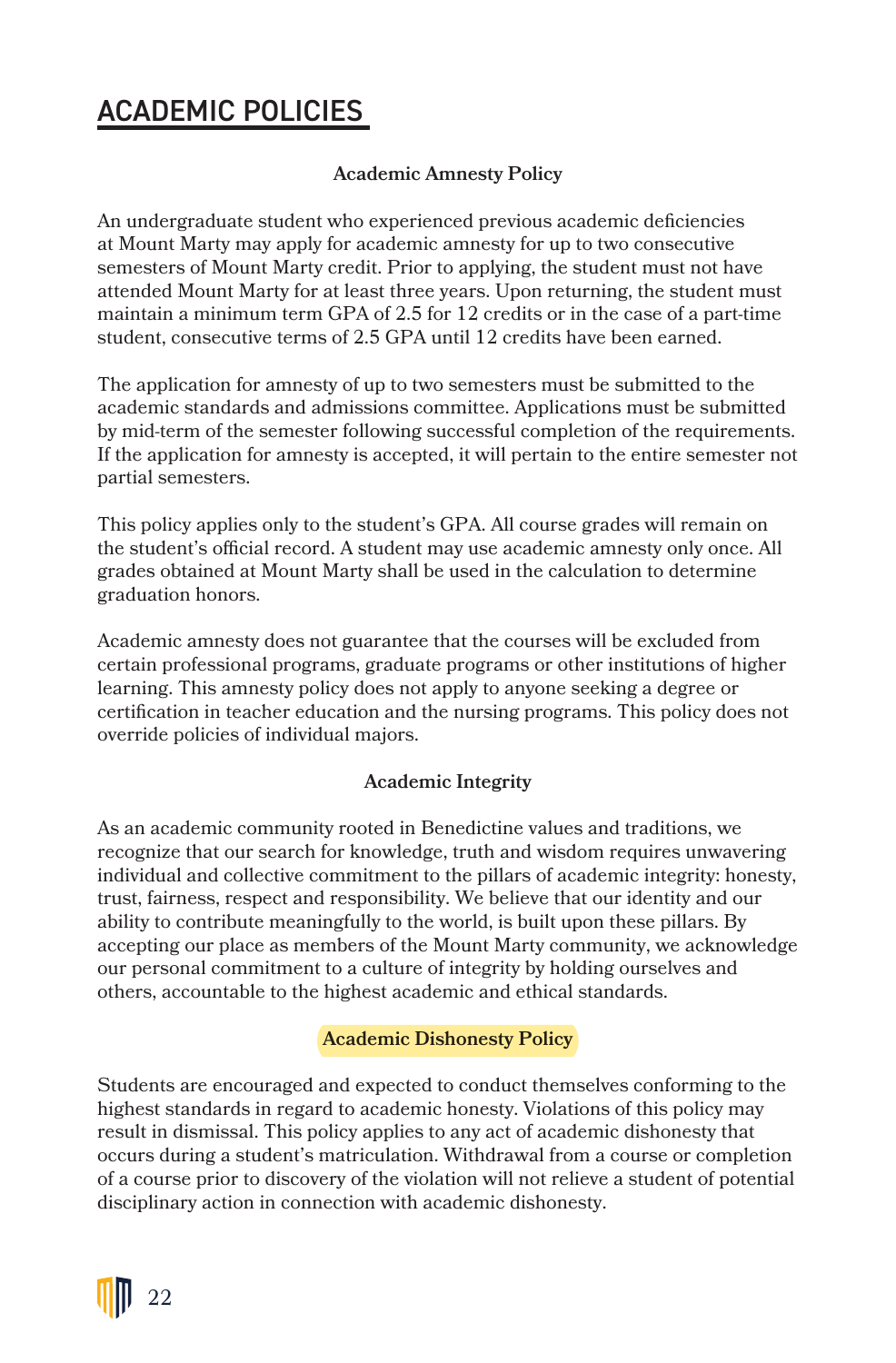# ACADEMIC POLICIES

## **Academic Amnesty Policy**

An undergraduate student who experienced previous academic deficiencies at Mount Marty may apply for academic amnesty for up to two consecutive semesters of Mount Marty credit. Prior to applying, the student must not have attended Mount Marty for at least three years. Upon returning, the student must maintain a minimum term GPA of 2.5 for 12 credits or in the case of a part-time student, consecutive terms of 2.5 GPA until 12 credits have been earned.

The application for amnesty of up to two semesters must be submitted to the academic standards and admissions committee. Applications must be submitted by mid-term of the semester following successful completion of the requirements. If the application for amnesty is accepted, it will pertain to the entire semester not partial semesters.

This policy applies only to the student's GPA. All course grades will remain on the student's official record. A student may use academic amnesty only once. All grades obtained at Mount Marty shall be used in the calculation to determine graduation honors.

Academic amnesty does not guarantee that the courses will be excluded from certain professional programs, graduate programs or other institutions of higher learning. This amnesty policy does not apply to anyone seeking a degree or certification in teacher education and the nursing programs. This policy does not override policies of individual majors.

## **Academic Integrity**

As an academic community rooted in Benedictine values and traditions, we recognize that our search for knowledge, truth and wisdom requires unwavering individual and collective commitment to the pillars of academic integrity: honesty, trust, fairness, respect and responsibility. We believe that our identity and our ability to contribute meaningfully to the world, is built upon these pillars. By accepting our place as members of the Mount Marty community, we acknowledge our personal commitment to a culture of integrity by holding ourselves and others, accountable to the highest academic and ethical standards.

## **Academic Dishonesty Policy**

Students are encouraged and expected to conduct themselves conforming to the highest standards in regard to academic honesty. Violations of this policy may result in dismissal. This policy applies to any act of academic dishonesty that occurs during a student's matriculation. Withdrawal from a course or completion of a course prior to discovery of the violation will not relieve a student of potential disciplinary action in connection with academic dishonesty.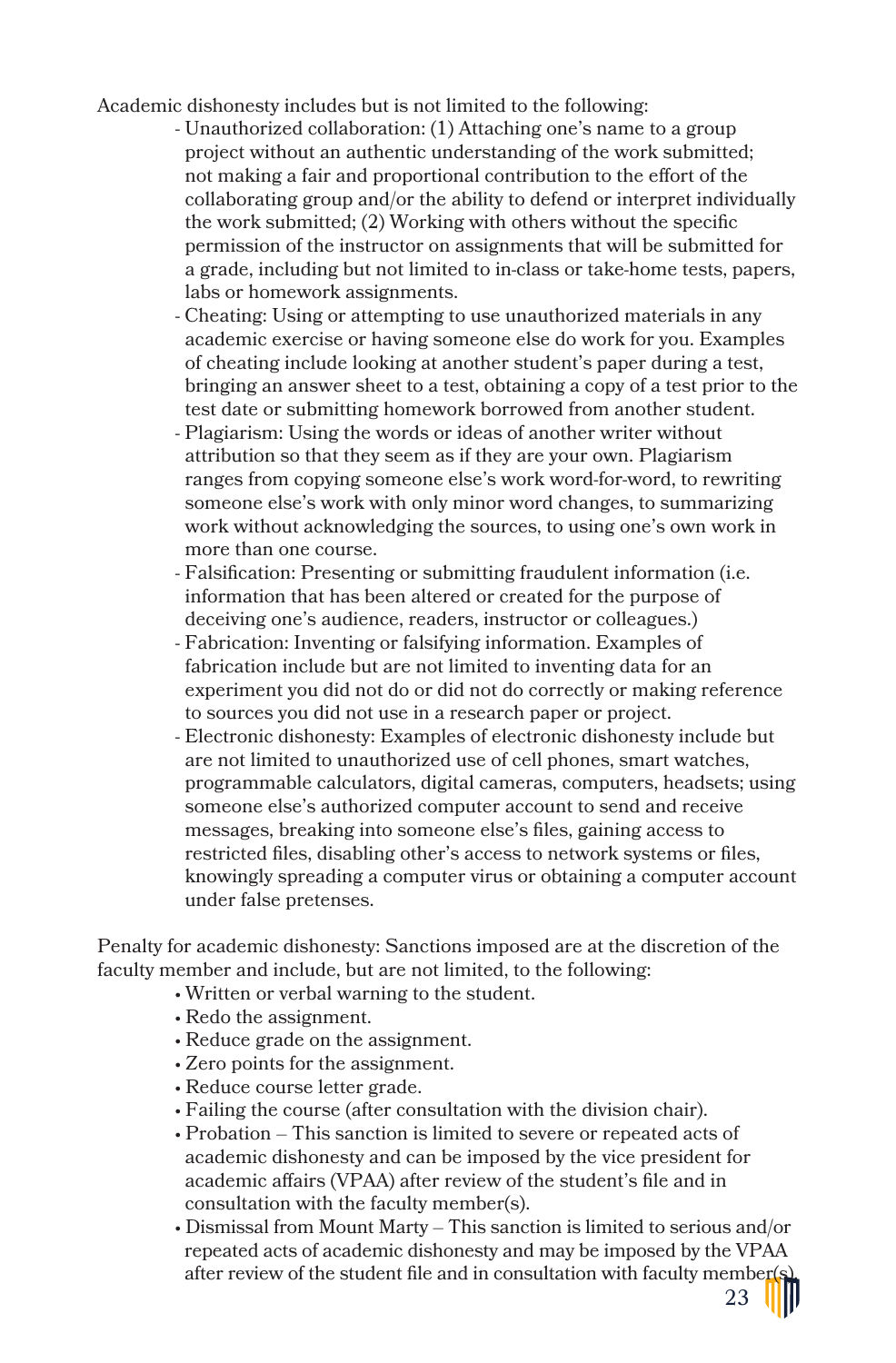Academic dishonesty includes but is not limited to the following:

- Unauthorized collaboration: (1) Attaching one's name to a group project without an authentic understanding of the work submitted; not making a fair and proportional contribution to the effort of the collaborating group and/or the ability to defend or interpret individually the work submitted; (2) Working with others without the specific permission of the instructor on assignments that will be submitted for a grade, including but not limited to in-class or take-home tests, papers, labs or homework assignments.
- Cheating: Using or attempting to use unauthorized materials in any academic exercise or having someone else do work for you. Examples of cheating include looking at another student's paper during a test, bringing an answer sheet to a test, obtaining a copy of a test prior to the test date or submitting homework borrowed from another student.
- Plagiarism: Using the words or ideas of another writer without attribution so that they seem as if they are your own. Plagiarism ranges from copying someone else's work word-for-word, to rewriting someone else's work with only minor word changes, to summarizing work without acknowledging the sources, to using one's own work in more than one course.
- Falsification: Presenting or submitting fraudulent information (i.e. information that has been altered or created for the purpose of deceiving one's audience, readers, instructor or colleagues.)
- Fabrication: Inventing or falsifying information. Examples of fabrication include but are not limited to inventing data for an experiment you did not do or did not do correctly or making reference to sources you did not use in a research paper or project.
- Electronic dishonesty: Examples of electronic dishonesty include but are not limited to unauthorized use of cell phones, smart watches, programmable calculators, digital cameras, computers, headsets; using someone else's authorized computer account to send and receive messages, breaking into someone else's files, gaining access to restricted files, disabling other's access to network systems or files, knowingly spreading a computer virus or obtaining a computer account under false pretenses.

Penalty for academic dishonesty: Sanctions imposed are at the discretion of the faculty member and include, but are not limited, to the following:

- Written or verbal warning to the student.
- Redo the assignment.
- Reduce grade on the assignment.
- Zero points for the assignment.
- Reduce course letter grade.
- Failing the course (after consultation with the division chair).
- Probation This sanction is limited to severe or repeated acts of academic dishonesty and can be imposed by the vice president for academic affairs (VPAA) after review of the student's file and in consultation with the faculty member(s).
- Dismissal from Mount Marty This sanction is limited to serious and/or repeated acts of academic dishonesty and may be imposed by the VPAA after review of the student file and in consultation with faculty member(s).

23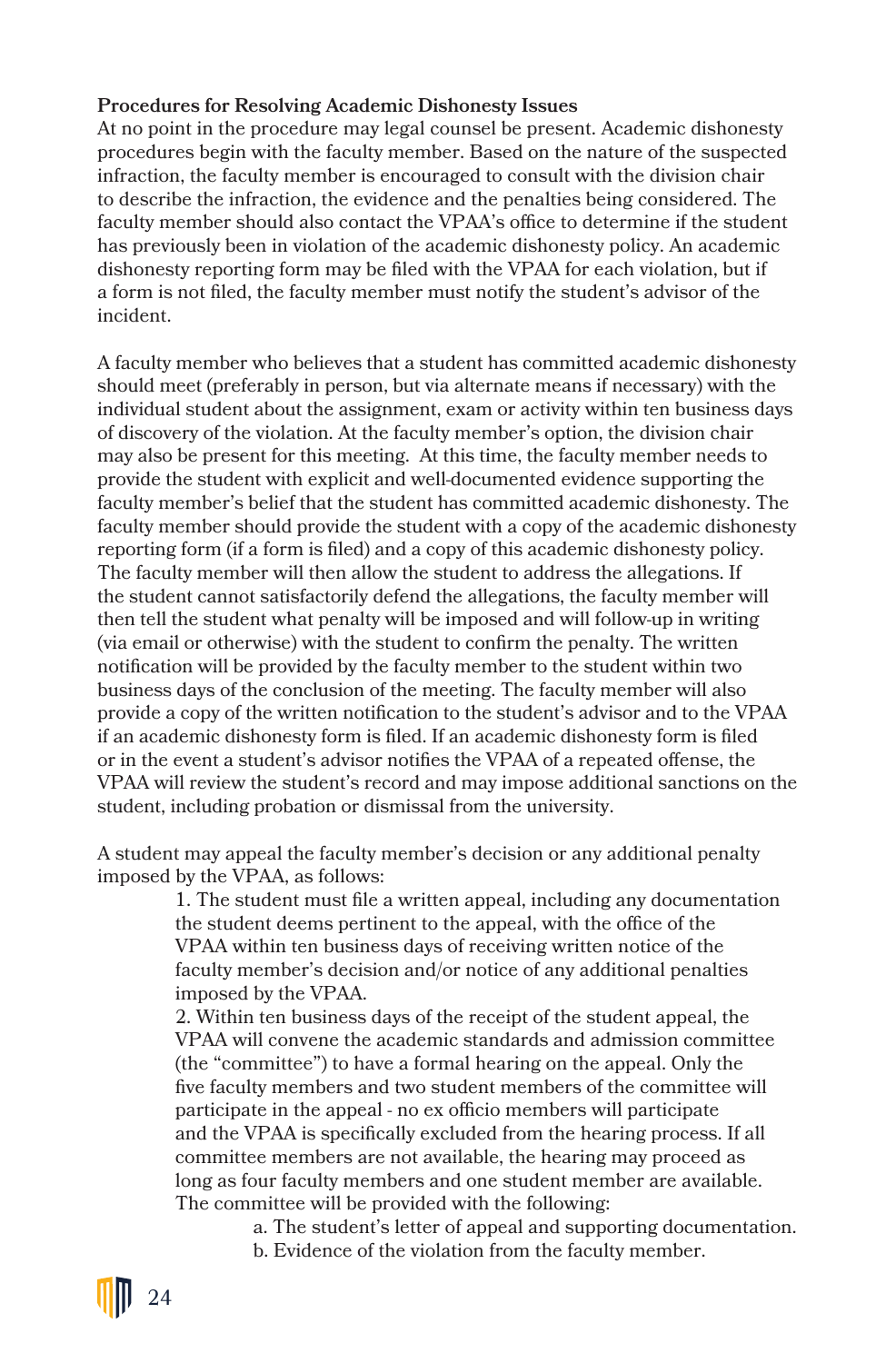#### **Procedures for Resolving Academic Dishonesty Issues**

At no point in the procedure may legal counsel be present. Academic dishonesty procedures begin with the faculty member. Based on the nature of the suspected infraction, the faculty member is encouraged to consult with the division chair to describe the infraction, the evidence and the penalties being considered. The faculty member should also contact the VPAA's office to determine if the student has previously been in violation of the academic dishonesty policy. An academic dishonesty reporting form may be filed with the VPAA for each violation, but if a form is not filed, the faculty member must notify the student's advisor of the incident.

A faculty member who believes that a student has committed academic dishonesty should meet (preferably in person, but via alternate means if necessary) with the individual student about the assignment, exam or activity within ten business days of discovery of the violation. At the faculty member's option, the division chair may also be present for this meeting. At this time, the faculty member needs to provide the student with explicit and well-documented evidence supporting the faculty member's belief that the student has committed academic dishonesty. The faculty member should provide the student with a copy of the academic dishonesty reporting form (if a form is filed) and a copy of this academic dishonesty policy. The faculty member will then allow the student to address the allegations. If the student cannot satisfactorily defend the allegations, the faculty member will then tell the student what penalty will be imposed and will follow-up in writing (via email or otherwise) with the student to confirm the penalty. The written notification will be provided by the faculty member to the student within two business days of the conclusion of the meeting. The faculty member will also provide a copy of the written notification to the student's advisor and to the VPAA if an academic dishonesty form is filed. If an academic dishonesty form is filed or in the event a student's advisor notifies the VPAA of a repeated offense, the VPAA will review the student's record and may impose additional sanctions on the student, including probation or dismissal from the university.

A student may appeal the faculty member's decision or any additional penalty imposed by the VPAA, as follows:

> 1. The student must file a written appeal, including any documentation the student deems pertinent to the appeal, with the office of the VPAA within ten business days of receiving written notice of the faculty member's decision and/or notice of any additional penalties imposed by the VPAA.

> 2. Within ten business days of the receipt of the student appeal, the VPAA will convene the academic standards and admission committee (the "committee") to have a formal hearing on the appeal. Only the five faculty members and two student members of the committee will participate in the appeal - no ex officio members will participate and the VPAA is specifically excluded from the hearing process. If all committee members are not available, the hearing may proceed as long as four faculty members and one student member are available. The committee will be provided with the following:

> > a. The student's letter of appeal and supporting documentation. b. Evidence of the violation from the faculty member.